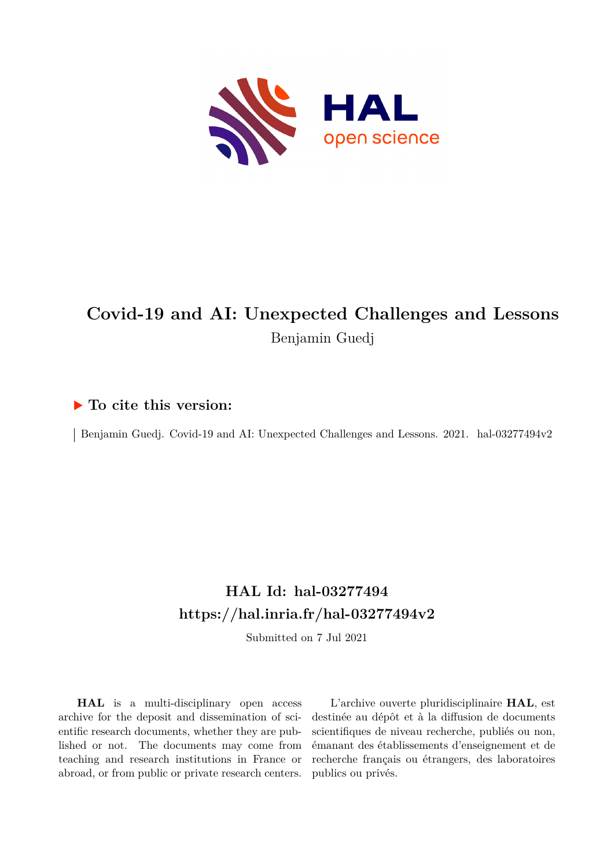

## **Covid-19 and AI: Unexpected Challenges and Lessons** Benjamin Guedj

### **To cite this version:**

Benjamin Guedj. Covid-19 and AI: Unexpected Challenges and Lessons. 2021. hal-03277494v2

## **HAL Id: hal-03277494 <https://hal.inria.fr/hal-03277494v2>**

Submitted on 7 Jul 2021

**HAL** is a multi-disciplinary open access archive for the deposit and dissemination of scientific research documents, whether they are published or not. The documents may come from teaching and research institutions in France or abroad, or from public or private research centers.

L'archive ouverte pluridisciplinaire **HAL**, est destinée au dépôt et à la diffusion de documents scientifiques de niveau recherche, publiés ou non, émanant des établissements d'enseignement et de recherche français ou étrangers, des laboratoires publics ou privés.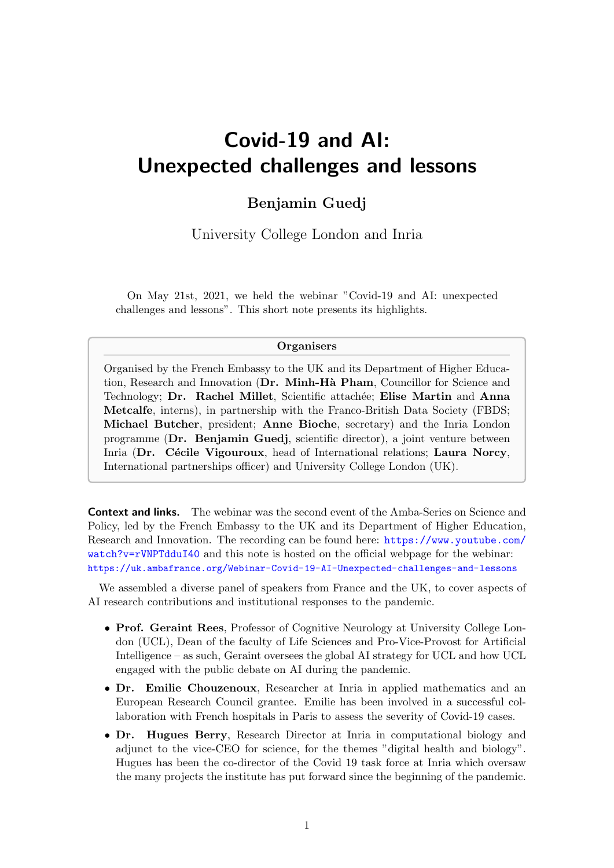# Covid-19 and AI: Unexpected challenges and lessons

#### Benjamin Guedj

University College London and Inria

On May 21st, 2021, we held the webinar "Covid-19 and AI: unexpected challenges and lessons". This short note presents its highlights.

#### **Organisers**

Organised by the French Embassy to the UK and its Department of Higher Education, Research and Innovation (Dr. Minh-Hà Pham, Councillor for Science and Technology; Dr. Rachel Millet, Scientific attachée; Elise Martin and Anna Metcalfe, interns), in partnership with the Franco-British Data Society (FBDS; Michael Butcher, president; Anne Bioche, secretary) and the Inria London programme (Dr. Benjamin Guedj, scientific director), a joint venture between Inria (Dr. Cécile Vigouroux, head of International relations; Laura Norcy, International partnerships officer) and University College London (UK).

**Context and links.** The webinar was the second event of the Amba-Series on Science and Policy, led by the French Embassy to the UK and its Department of Higher Education, Research and Innovation. The recording can be found here: [https://www.youtube.com/](https://www.youtube.com/watch?v=rVNPTdduI40) [watch?v=rVNPTdduI40](https://www.youtube.com/watch?v=rVNPTdduI40) and this note is hosted on the official webpage for the webinar: <https://uk.ambafrance.org/Webinar-Covid-19-AI-Unexpected-challenges-and-lessons>

We assembled a diverse panel of speakers from France and the UK, to cover aspects of AI research contributions and institutional responses to the pandemic.

- Prof. Geraint Rees, Professor of Cognitive Neurology at University College London (UCL), Dean of the faculty of Life Sciences and Pro-Vice-Provost for Artificial Intelligence – as such, Geraint oversees the global AI strategy for UCL and how UCL engaged with the public debate on AI during the pandemic.
- Dr. Emilie Chouzenoux, Researcher at Inria in applied mathematics and an European Research Council grantee. Emilie has been involved in a successful collaboration with French hospitals in Paris to assess the severity of Covid-19 cases.
- Dr. Hugues Berry, Research Director at Inria in computational biology and adjunct to the vice-CEO for science, for the themes "digital health and biology". Hugues has been the co-director of the Covid 19 task force at Inria which oversaw the many projects the institute has put forward since the beginning of the pandemic.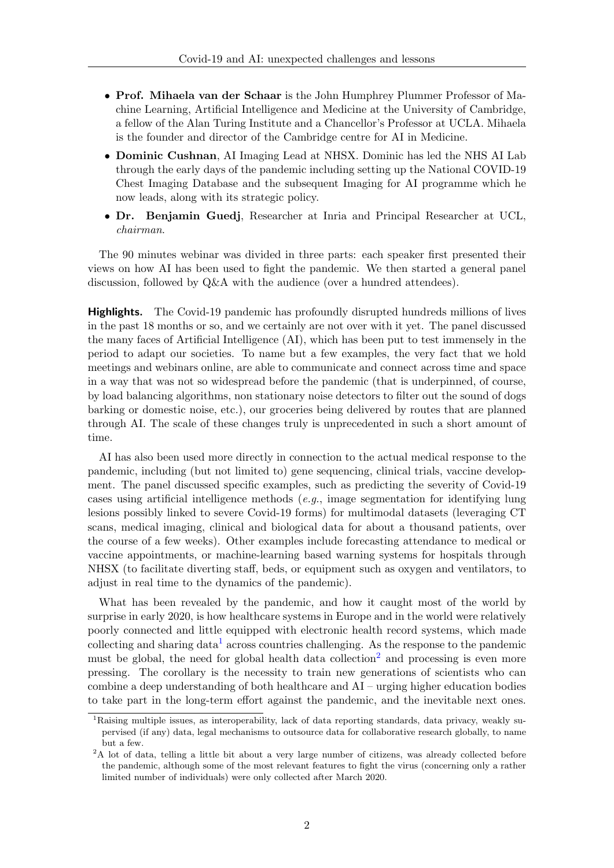- Prof. Mihaela van der Schaar is the John Humphrey Plummer Professor of Machine Learning, Artificial Intelligence and Medicine at the University of Cambridge, a fellow of the Alan Turing Institute and a Chancellor's Professor at UCLA. Mihaela is the founder and director of the Cambridge centre for AI in Medicine.
- Dominic Cushnan, AI Imaging Lead at NHSX. Dominic has led the NHS AI Lab through the early days of the pandemic including setting up the National COVID-19 Chest Imaging Database and the subsequent Imaging for AI programme which he now leads, along with its strategic policy.
- Dr. Benjamin Guedj, Researcher at Inria and Principal Researcher at UCL, chairman.

The 90 minutes webinar was divided in three parts: each speaker first presented their views on how AI has been used to fight the pandemic. We then started a general panel discussion, followed by Q&A with the audience (over a hundred attendees).

**Highlights.** The Covid-19 pandemic has profoundly disrupted hundreds millions of lives in the past 18 months or so, and we certainly are not over with it yet. The panel discussed the many faces of Artificial Intelligence (AI), which has been put to test immensely in the period to adapt our societies. To name but a few examples, the very fact that we hold meetings and webinars online, are able to communicate and connect across time and space in a way that was not so widespread before the pandemic (that is underpinned, of course, by load balancing algorithms, non stationary noise detectors to filter out the sound of dogs barking or domestic noise, etc.), our groceries being delivered by routes that are planned through AI. The scale of these changes truly is unprecedented in such a short amount of time.

AI has also been used more directly in connection to the actual medical response to the pandemic, including (but not limited to) gene sequencing, clinical trials, vaccine development. The panel discussed specific examples, such as predicting the severity of Covid-19 cases using artificial intelligence methods (e.g., image segmentation for identifying lung lesions possibly linked to severe Covid-19 forms) for multimodal datasets (leveraging CT scans, medical imaging, clinical and biological data for about a thousand patients, over the course of a few weeks). Other examples include forecasting attendance to medical or vaccine appointments, or machine-learning based warning systems for hospitals through NHSX (to facilitate diverting staff, beds, or equipment such as oxygen and ventilators, to adjust in real time to the dynamics of the pandemic).

What has been revealed by the pandemic, and how it caught most of the world by surprise in early 2020, is how healthcare systems in Europe and in the world were relatively poorly connected and little equipped with electronic health record systems, which made collecting and sharing data<sup>1</sup> across countries challenging. As the response to the pandemic must be global, the need for global health data collection<sup>2</sup> and processing is even more pressing. The corollary is the necessity to train new generations of scientists who can combine a deep understanding of both healthcare and AI – urging higher education bodies to take part in the long-term effort against the pandemic, and the inevitable next ones.

<sup>1</sup>Raising multiple issues, as interoperability, lack of data reporting standards, data privacy, weakly supervised (if any) data, legal mechanisms to outsource data for collaborative research globally, to name but a few.

<sup>&</sup>lt;sup>2</sup>A lot of data, telling a little bit about a very large number of citizens, was already collected before the pandemic, although some of the most relevant features to fight the virus (concerning only a rather limited number of individuals) were only collected after March 2020.